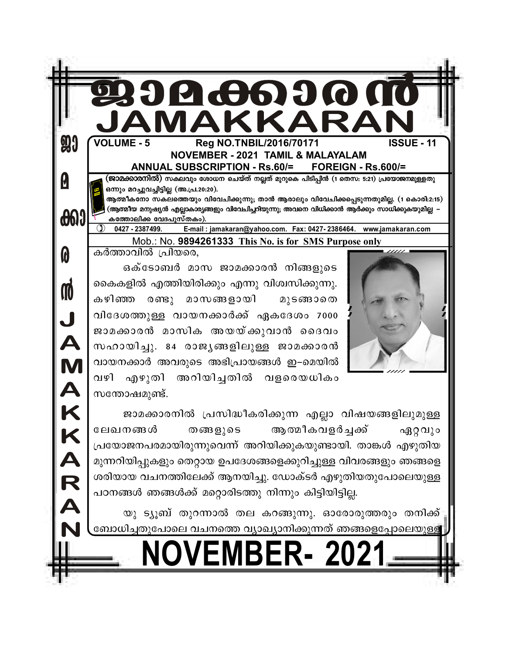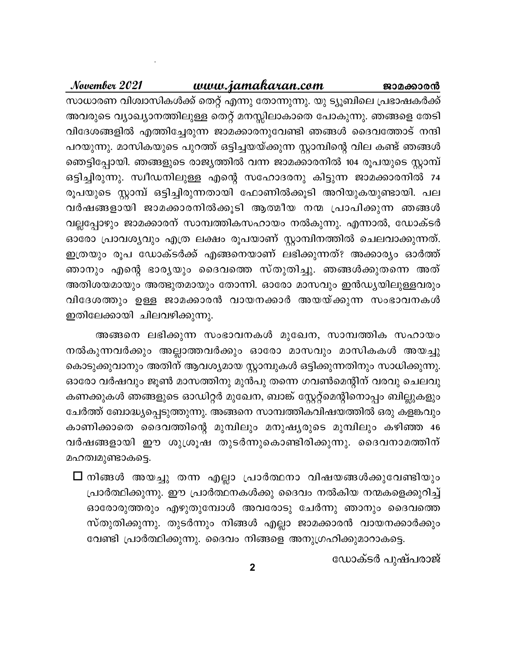## <u>www.jamakaran.com</u>

November 2021

സാധാരണ വിശ്വാസികൾക്ക് തെറ്റ് എന്നു തോന്നുന്നു. യു ട്യൂബിലെ പ്രഭാഷകർക്ക് അവരുടെ വ്യാഖ്യാനത്തിലുള്ള തെറ്റ് മനസ്സിലാകാതെ പോകുന്നു. ഞങ്ങളെ തേടി വിദേശങ്ങളിൽ എത്തിച്ചേരുന്ന ജാമക്കാരനുവേണ്ടി ഞങ്ങൾ ദൈവത്തോട് നന്ദി പറയുന്നു. മാസികയുടെ പുറത്ത് ഒട്ടിച്ചയയ്ക്കുന്ന സ്റ്റാമ്പിന്റെ വില കണ്ട് ഞങ്ങൾ ഞെട്ടിപ്പോയി. ഞങ്ങളുടെ രാജ്യത്തിൽ വന്ന ജാമക്കാരനിൽ 104 രൂപയുടെ സ്റ്റാമ്പ് ഒട്ടിച്ചിരുന്നു. സ്വീഡനിലുള്ള എന്റെ സഹോദരനു കിട്ടുന്ന ജാമക്കാരനിൽ 74 രൂപയുടെ സ്റ്റാമ്പ് ഒട്ടിച്ചിരുന്നതായി ഫോണിൽക്കൂടി അറിയുകയുണ്ടായി. പല വർഷങ്ങളായി ജാമക്കാരനിൽക്കൂടി ആത്മീയ നന്മ പ്രാപിക്കുന്ന ഞങ്ങൾ വല്ലപ്പോഴും ജാമക്കാരന് സാമ്പത്തികസഹായം നൽകുന്നു. എന്നാൽ, ഡോക്ടർ ഓരോ പ്രാവശ്യവും എത്ര ലക്ഷം രൂപയാണ് സ്റ്റാമ്പിനത്തിൽ ചെലവാക്കുന്നത്. ഇത്രയും രൂപ ഡോക്ടർക്ക് എങ്ങനെയാണ് ലഭിക്കുന്നത്? അക്കാര്യം ഓർത്ത് ഞാനും എന്റെ ഭാര്യയും ദൈവത്തെ സ്തുതിച്ചു. ഞങ്ങൾക്കുതന്നെ അത് അതിശയമായും അത്ഭുതമായും തോന്നി. ഓരോ മാസവും ഇൻഡ്യയിലുള്ളവരും വിദേശത്തും ഉള്ള ജാമക്കാരൻ വായനക്കാർ അയയ്ക്കുന്ന സംഭാവനകൾ ഇതിലേക്കായി ചിലവഴിക്കുന്നു.

അങ്ങനെ ലഭിക്കുന്ന സംഭാവനകൾ മുഖേന, സാമ്പത്തിക സഹായം നൽകുന്നവർക്കും അല്ലാത്തവർക്കും ഓരോ മാസവും മാസികകൾ അയച്ചു കൊടുക്കുവാനും അതിന് ആവശ്യമായ സ്റ്റാമ്പുകൾ ഒട്ടിക്കുന്നതിനും സാധിക്കുന്നു. ഓരോ വർഷവും ജൂൺ മാസത്തിനു മുൻപു തന്നെ ഗവൺമെന്റിന് വരവു ചെലവു കണക്കുകൾ ഞങ്ങളുടെ ഓഡിറ്റർ മുഖേന, ബാങ്ക് സ്റ്റേറ്റ്മെന്റിനൊപ്പം ബില്ലുകളും ചേർത്ത് ബോദ്ധ്യപ്പെടുത്തുന്നു. അങ്ങനെ സാമ്പത്തികവിഷയത്തിൽ ഒരു കളങ്കവും കാണിക്കാതെ ദൈവത്തിന്റെ മുമ്പിലും മനുഷ്യരുടെ മുമ്പിലും കഴിഞ്ഞ 46 വർഷങ്ങളായി ഈ ശുശ്രൂഷ തുടർന്നുകൊണ്ടിരിക്കുന്നു. ദൈവനാമത്തിന് മഹത്വമുണ്ടാകട്ടെ.

 $\bm{\Box}$  നിങ്ങൾ അയച്ചു തന്ന എല്ലാ പ്രാർത്ഥനാ വിഷയങ്ങൾക്കുവേണ്ടിയും പ്രാർത്ഥിക്കുന്നു. ഈ പ്രാർത്ഥനകൾക്കു ദൈവം നൽകിയ നന്മകളെക്കുറിച്ച് ഓരോരുത്തരും എഴുതുമ്പോൾ അവരോടു ചേർന്നു ഞാനും ദൈവത്തെ സ്തുതിക്കുന്നു. തുടർന്നും നിങ്ങൾ എല്ലാ ജാമക്കാരൻ വായനക്കാർക്കും വേണ്ടി പ്രാർത്ഥിക്കുന്നു. ദൈവം നിങ്ങളെ അനുഗ്രഹിക്കുമാറാകട്ടെ.

ഡോക്ടർ പുഷ്പരാജ്

ജാമക്കാരൻ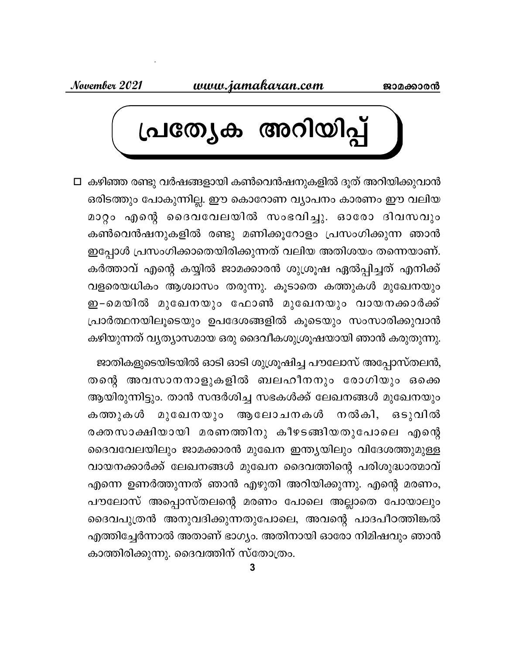November 2021



□ കഴിഞ്ഞ രണ്ടു വർഷങ്ങളായി കൺവെൻഷനുകളിൽ ദൂത് അറിയിക്കുവാൻ ഒരിടത്തും പോകുന്നില്ല. ഈ കൊറോണ വ്യാപനം കാരണം ഈ വലിയ മാറ്റം എന്റെ ദൈവവേലയിൽ സംഭവിച്ചു. ഓരോ ദിവസവും കൺവെൻഷനുകളിൽ രണ്ടു മണിക്കൂറോളം പ്രസംഗിക്കുന്ന ഞാൻ ഇപ്പോൾ പ്രസംഗിക്കാതെയിരിക്കുന്നത് വലിയ അതിശയം തന്നെയാണ്. കർത്താവ് എന്റെ കയ്യിൽ ജാമക്കാരൻ ശുശ്രൂഷ ഏൽപ്പിച്ചത് എനിക്ക് വളരെയധികം ആശ്വാസം തരുന്നു. കൂടാതെ കത്തുകൾ മുഖേനയും ഇ−മെയിൽ മുഖേനയും ഫോൺ മുഖേനയും വായനക്കാർക്ക് പ്രാർത്ഥനയിലൂടെയും ഉപദേശങ്ങളിൽ കൂടെയും സംസാരിക്കുവാൻ കഴിയുന്നത് വ്യത്യാസമായ ഒരു ദൈവീകശുശ്രൂഷയായി ഞാൻ കരുതുന്നു.

ജാതികളുടെയിടയിൽ ഓടി ഓടി ശുശ്രൂഷിച്ച പൗലോസ് അപ്പോസ്തലൻ, തന്റെ അവസാനനാളുകളിൽ ബലഹീനനും രോഗിയും ഒക്കെ ആയിരുന്നിട്ടും. താൻ സന്ദർശിച്ച സഭകൾക്ക് ലേഖനങ്ങൾ മുഖേനയും മുഖേനയും ആലോചനകൾ നൽകി, ഒടുവിൽ കത്തുകൾ രക്തസാക്ഷിയായി മരണത്തിനു കീഴടങ്ങിയതുപോലെ എന്റെ ദൈവവേലയിലും ജാമക്കാരൻ മുഖേന ഇന്ത്യയിലും വിദേശത്തുമുള്ള വായനക്കാർക്ക് ലേഖനങ്ങൾ മുഖേന ദൈവത്തിന്റെ പരിശുദ്ധാത്മാവ് എന്നെ ഉണർത്തുന്നത് ഞാൻ എഴുതി അറിയിക്കുന്നു. എന്റെ മരണം, പൗലോസ് അപ്പൊസ്തലന്റെ മരണം പോലെ അല്ലാതെ പോയാലും ദൈവപുത്രൻ അനുവദിക്കുന്നതുപോലെ, അവന്റെ പാദപീഠത്തിങ്കൽ എത്തിച്ചേർന്നാൽ അതാണ് ഭാഗ്യം. അതിനായി ഓരോ നിമിഷവും ഞാൻ കാത്തിരിക്കുന്നു. ദൈവത്തിന് സ്തോത്രം.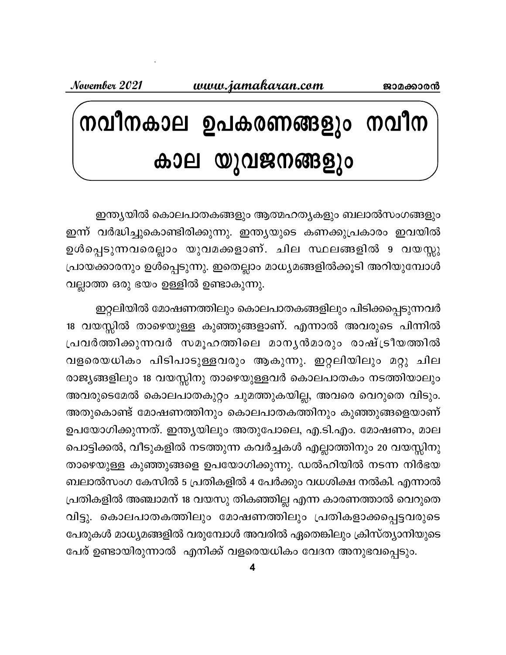November 2021

# നവീനകാല ഉപകരണങ്ങളും നവീന കാല യുവജനങ്ങളും

ഇന്ത്യയിൽ കൊലപാതകങ്ങളും ആത്മഹത്യകളും ബലാൽസംഗങ്ങളും ഇന്ന് വർദ്ധിച്ചുകൊണ്ടിരിക്കുന്നു. ഇന്ത്യയുടെ കണക്കുപ്രകാരം ഇവയിൽ ഉൾപ്പെടുന്നവരെല്ലാം യുവമക്കളാണ്. ചില സ്ഥലങ്ങളിൽ 9 വയസ്സു പ്രായക്കാരനും ഉൾപ്പെടുന്നു. ഇതെല്ലാം മാധ്യമങ്ങളിൽക്കൂടി അറിയുമ്പോൾ വല്ലാത്ത ഒരു ഭയം ഉള്ളിൽ ഉണ്ടാകുന്നു.

ഇറ്റലിയിൽ മോഷണത്തിലും കൊലപാതകങ്ങളിലും പിടിക്കപ്പെടുന്നവർ 18 വയസ്സിൽ താഴെയുള്ള കുഞ്ഞുങ്ങളാണ്. എന്നാൽ അവരുടെ പിന്നിൽ പ്രവർത്തിക്കുന്നവർ സമൂഹത്തിലെ മാനൃൻമാരും രാഷ്ട്രീയത്തിൽ വളരെയധികം പിടിപാടുള്ളവരും ആകുന്നു. ഇറ്റലിയിലും മറ്റു ചില രാജ്യങ്ങളിലും 18 വയസ്സിനു താഴെയുള്ളവർ കൊലപാതകം നടത്തിയാലും അവരുടെമേൽ കൊലപാതകുറ്റം ചുമത്തുകയില്ല, അവരെ വെറുതെ വിടും. അതുകൊണ്ട് മോഷണത്തിനും കൊലപാതകത്തിനും കുഞ്ഞുങ്ങളെയാണ് ഉപയോഗിക്കുന്നത്. ഇന്ത്യയിലും അതുപോലെ, എ.ടി.എം. മോഷണം, മാല പൊട്ടിക്കൽ, വീടുകളിൽ നടത്തുന്ന കവർച്ചകൾ എല്ലാത്തിനും 20 വയസ്സിനു താഴെയുള്ള കുഞ്ഞുങ്ങളെ ഉപയോഗിക്കുന്നു. ഡൽഹിയിൽ നടന്ന നിർഭയ ബലാൽസംഗ കേസിൽ 5 പ്രതികളിൽ 4 പേർക്കും വധശിക്ഷ നൽകി. എന്നാൽ പ്രതികളിൽ അഞ്ചാമന് 18 വയസു തികഞ്ഞില്ല എന്ന കാരണത്താൽ വെറുതെ വിട്ടു. കൊലപാതകത്തിലും മോഷണത്തിലും പ്രതികളാക്കപ്പെട്ടവരുടെ പേരുകൾ മാധ്യമങ്ങളിൽ വരുമ്പോൾ അവരിൽ ഏതെങ്കിലും ക്രിസ്ത്യാനിയുടെ പേര് ഉണ്ടായിരുന്നാൽ എനിക്ക് വളരെയധികം വേദന അനുഭവപ്പെടും.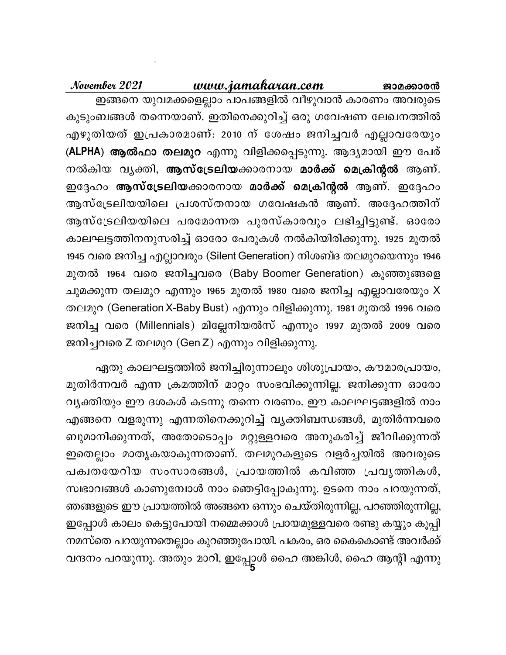#### www.jamakaran.com November 2021 ജാമക്കാരൻ ഇങ്ങനെ യുവമക്കളെല്ലാം പാപങ്ങളിൽ വീഴുവാൻ കാരണം അവരുടെ കുടുംബങ്ങൾ തന്നെയാണ്. ഇതിനെക്കുറിച്ച് ഒരു ഗവേഷണ ലേഖനത്തിൽ

എഴുതിയത് ഇപ്രകാരമാണ്: 2010 ന് ശേഷം ജനിച്ചവർ എല്ലാവരേയും (ALPHA) ആൽഫാ തലമുറ എന്നു വിളിക്കപ്പെടുന്നു. ആദ്യമായി ഈ പേര് നൽകിയ വൃക്തി, **ആസ്ട്രേലിയ**ക്കാരനായ മാർക്ക് മെക്രിന്റൽ ആണ്. ഇദ്ദേഹം **ആസ്ട്രേലിയ**ക്കാരനായ മാർക്ക് മെക്രിന്റൽ ആണ്. ഇദ്ദേഹം ആസ്ട്രേലിയയിലെ പ്രശസ്തനായ ഗവേഷകൻ ആണ്. അദ്ദേഹത്തിന് ആസ്ട്രേലിയയിലെ പരമോന്നത പുരസ്കാരവും ലഭിച്ചിട്ടുണ്ട്. ഓരോ കാലഘട്ടത്തിനനുസരിച്ച് ഓരോ പേരുകൾ നൽകിയിരിക്കുന്നു. 1925 മുതൽ 1945 വരെ ജനിച്ച എല്ലാവരും (Silent Generation) നിശബ്ദ തലമുറയെന്നും 1946 മുതൽ 1964 വരെ ജനിച്ചവരെ (Baby Boomer Generation) കുഞ്ഞുങ്ങളെ ചുമക്കുന്ന തലമുറ എന്നും 1965 മുതൽ 1980 വരെ ജനിച്ച എല്ലാവരേയും X തലമുറ (Generation X-Baby Bust) എന്നും വിളിക്കുന്നു. 1981 മുതൽ 1996 വരെ ജനിച്ച വരെ (Millennials) മില്ലേനിയൽസ് എന്നും 1997 മുതൽ 2009 വരെ ജനിച്ചവരെ Z തലമുറ (Gen Z) എന്നും വിളിക്കുന്നു.

ഏതു കാലഘട്ടത്തിൽ ജനിച്ചിരുന്നാലും ശിശുപ്രായം, കൗമാരപ്രായം, മുതിർന്നവർ എന്ന ക്രമത്തിന് മാറ്റം സംഭവിക്കുന്നില്ല. ജനിക്കുന്ന ഓരോ വ്യക്തിയും ഈ ദശകൾ കടന്നു തന്നെ വരണം. ഈ കാലഘട്ടങ്ങളിൽ നാം എങ്ങനെ വളരുന്നു എന്നതിനെക്കുറിച്ച് വൃക്തിബന്ധങ്ങൾ, മുതിർന്നവരെ ബുമാനിക്കുന്നത്, അതോടൊപ്പം മറ്റുള്ളവരെ അനുകരിച്ച് ജീവിക്കുന്നത് ഇതെല്ലാം മാതൃകയാകുന്നതാണ്. തലമുറകളുടെ വളർച്ചയിൽ അവരുടെ പക്വതയേറിയ സംസാരങ്ങൾ, പ്രായത്തിൽ കവിഞ്ഞ പ്രവൃത്തികൾ, സ്വഭാവങ്ങൾ കാണുമ്പോൾ നാം ഞെട്ടിപ്പോകുന്നു. ഉടനെ നാം പറയുന്നത്, ഞങ്ങളുടെ ഈ പ്രായത്തിൽ അങ്ങനെ ഒന്നും ചെയ്തിരുന്നില്ല, പറഞ്ഞിരുന്നില്ല, ഇപ്പോൾ കാലം കെട്ടുപോയി നമ്മെക്കാൾ പ്രായമുള്ളവരെ രണ്ടു കയ്യും കൂപ്പി നമസ്തെ പറയുന്നതെല്ലാം കുറഞ്ഞുപോയി. പകരം, ഒര കൈകൊണ്ട് അവർക്ക് വന്ദനം പറയുന്നു. അതും മാറി, ഇപ്പോൾ ഹൈ അങ്കിൾ, ഹൈ ആന്റി എന്നു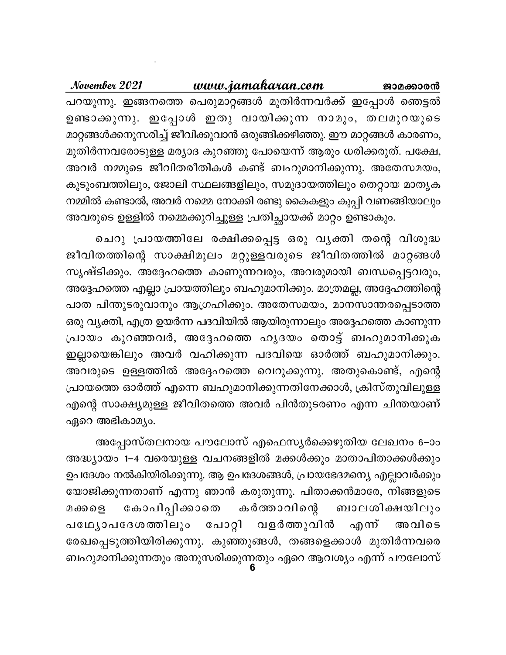November 2021 www.jamakaran.com ജാമക്കാരൻ പറയുന്നു. ഇങ്ങനത്തെ പെരുമാറ്റങ്ങൾ മുതിർന്നവർക്ക് ഇപ്പോൾ ഞെട്ടൽ ഉണ്ടാക്കുന്നു. ഇപ്പോൾ ഇതു വായിക്കുന്ന നാമും, തലമുറയുടെ മാറ്റങ്ങൾക്കനുസരിച്ച് ജീവിക്കുവാൻ ഒരുങ്ങിക്കഴിഞ്ഞു. ഈ മാറ്റങ്ങൾ കാരണം, മുതിർന്നവരോടുള്ള മര്യാദ കുറഞ്ഞു പോയെന്ന് ആരും ധരിക്കരുത്. പക്ഷേ, അവർ നമ്മുടെ ജീവിതരീതികൾ കണ്ട് ബഹുമാനിക്കുന്നു. അതേസമയം, കുടുംബത്തിലും, ജോലി സ്ഥലങ്ങളിലും, സമുദായത്തിലും തെറ്റായ മാതൃക നമ്മിൽ കണ്ടാൽ, അവർ നമ്മെ നോക്കി രണ്ടു കൈകളും കൂപ്പി വണങ്ങിയാലും അവരുടെ ഉള്ളിൽ നമ്മെക്കുറിച്ചുള്ള പ്രതിച്ഛായക്ക് മാറ്റം ഉണ്ടാകും.

ചെറു പ്രായത്തിലേ രക്ഷിക്കപ്പെട്ട ഒരു വൃക്തി തന്റെ വിശുദ്ധ ജീവിതത്തിന്റെ സാക്ഷിമൂലം മറ്റുള്ളവരുടെ ജീവിതത്തിൽ മാറ്റങ്ങൾ സൃഷ്ടിക്കും. അദ്ദേഹത്തെ കാണുന്നവരും, അവരുമായി ബന്ധപ്പെട്ടവരും, അദ്ദേഹത്തെ എല്ലാ പ്രായത്തിലും ബഹുമാനിക്കും. മാത്രമല്ല, അദ്ദേഹത്തിന്റെ പാത പിന്തുടരുവാനും ആഗ്രഹിക്കും. അതേസമയം, മാനസാന്തരപ്പെടാത്ത ഒരു വ്യക്തി, എത്ര ഉയർന്ന പദവിയിൽ ആയിരുന്നാലും അദ്ദേഹത്തെ കാണുന്ന പ്രായം കുറഞ്ഞവർ, അദ്ദേഹത്തെ ഹൃദയം തൊട്ട് ബഹുമാനിക്കുക ഇല്ലായെങ്കിലും അവർ വഹിക്കുന്ന പദവിയെ ഓർത്ത് ബഹുമാനിക്കും. അവരുടെ ഉള്ളത്തിൽ അദ്ദേഹത്തെ വെറുക്കുന്നു. അതുകൊണ്ട്, എന്റെ പ്രായത്തെ ഓർത്ത് എന്നെ ബഹുമാനിക്കുന്നതിനേക്കാൾ, ക്രിസ്തുവിലുള്ള എന്റെ സാക്ഷ്യമുള്ള ജീവിതത്തെ അവർ പിൻതുടരണം എന്ന ചിന്തയാണ് ഏറെ അഭികാമ്യം.

അപ്പോസ്തലനായ പൗലോസ് എഫെസ്യർക്കെഴുതിയ ലേഖനം 6–ാം അദ്ധ്യായം 1−4 വരെയുള്ള വചനങ്ങളിൽ മക്കൾക്കും മാതാപിതാക്കൾക്കും ഉപദേശം നൽകിയിരിക്കുന്നു. ആ ഉപദേശങ്ങൾ, പ്രായഭേദമന്യെ എല്ലാവർക്കും യോജിക്കുന്നതാണ് എന്നു ഞാൻ കരുതുന്നു. പിതാക്കൻമാരേ, നിങ്ങളുടെ കർത്താവിന്റെ കോപിപ്പിക്കാതെ മക്കളെ ബാലശിക്ഷയിലും പഥ്യോപദേശത്തിലും പോറ്റി വളർത്തുവിൻ എന് അവിടെ രേഖപ്പെടുത്തിയിരിക്കുന്നു. കുഞ്ഞുങ്ങൾ, തങ്ങളെക്കാൾ മുതിർന്നവരെ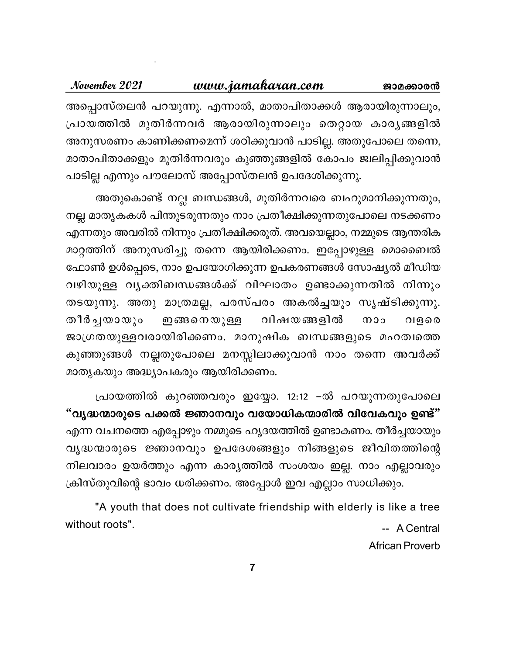#### November 2021 www.jamakaran.com ജാമക്കാരൻ അപ്പൊസ്തലൻ പറയുന്നു. എന്നാൽ, മാതാപിതാക്കൾ ആരായിരുന്നാലും, പ്രായത്തിൽ മുതിർന്നവർ ആരായിരുന്നാലും തെറ്റായ കാര്യങ്ങളിൽ അനുസരണം കാണിക്കണമെന്ന് ശഠിക്കുവാൻ പാടില്ല. അതുപോലെ തന്നെ, മാതാപിതാക്കളും മുതിർന്നവരും കുഞ്ഞുങ്ങളിൽ കോപം ജ്വലിപ്പിക്കുവാൻ പാടില്ല എന്നും പൗലോസ് അപ്പോസ്തലൻ ഉപദേശിക്കുന്നു.

അതുകൊണ്ട് നല്ല ബന്ധങ്ങൾ, മുതിർന്നവരെ ബഹുമാനിക്കുന്നതും, നല്ല മാതൃകകൾ പിന്തുടരുന്നതും നാം പ്രതീക്ഷിക്കുന്നതുപോലെ നടക്കണം എന്നതും അവരിൽ നിന്നും പ്രതീക്ഷിക്കരുത്. അവയെല്ലാം, നമ്മുടെ ആന്തരിക മാറ്റത്തിന് അനുസരിച്ചു തന്നെ ആയിരിക്കണം. ഇപ്പോഴുള്ള മൊബൈൽ ഫോൺ ഉൾപ്പെടെ, നാം ഉപയോഗിക്കുന്ന ഉപകരണങ്ങൾ സോഷ്യൽ മീഡിയ വഴിയുള്ള വൃക്തിബന്ധങ്ങൾക്ക് വിഘാതം ഉണ്ടാക്കുന്നതിൽ നിന്നും തടയുന്നു. അതു മാത്രമല്ല, പരസ്പരം അകൽച്ചയും സൃഷ്ടിക്കുന്നു. വിഷയങ്ങളിൽ തീർച്ചയായും ഇങ്ങനെയുള്ള  $000$ വളരെ ജാഗ്രതയുള്ളവരായിരിക്കണം. മാനുഷിക ബന്ധങ്ങളുടെ മഹത്വത്തെ കുഞ്ഞുങ്ങൾ നല്ലതുപോലെ മനസ്സിലാക്കുവാൻ നാം തന്നെ അവർക്ക് മാതൃകയും അദ്ധ്യാപകരും ആയിരിക്കണം.

പ്രായത്തിൽ കുറഞ്ഞവരും ഇയ്യോ. 12:12 –ൽ പറയുന്നതുപോലെ "വൃദ്ധന്മാരുടെ പക്കൽ ജ്ഞാനവും വയോധികന്മാരിൽ വിവേകവും ഉണ്ട്" എന്ന വചനത്തെ എപ്പോഴും നമ്മുടെ ഹൃദയത്തിൽ ഉണ്ടാകണം. തീർച്ചയായും വൃദ്ധന്മാരുടെ ജ്ഞാനവും ഉപദേശങ്ങളും നിങ്ങളുടെ ജീവിതത്തിന്റെ നിലവാരം ഉയർത്തും എന്ന കാര്യത്തിൽ സംശയം ഇല്ല. നാം എല്ലാവരും ക്രിസ്തുവിന്റെ ഭാവം ധരിക്കണം. അപ്പോൾ ഇവ എല്ലാം സാധിക്കും.

"A youth that does not cultivate friendship with elderly is like a tree without roots". -- A Central

**African Proverb**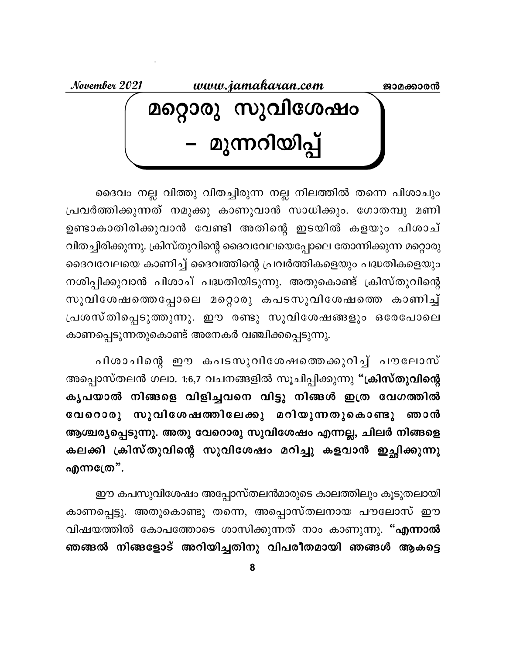www.jamakaran.com November 2021 ജാമക്കാരൻ മറ്റൊരു സുവിശേഷം<br>– മുന്നറിയിപ്പ്

ദൈവം നല്ല വിത്തു വിതച്ചിരുന്ന നല്ല നിലത്തിൽ തന്നെ പിശാചും പ്രവർത്തിക്കുന്നത് നമുക്കു കാണുവാൻ സാധിക്കും. ഗോതമ്പു മണി ഉണ്ടാകാതിരിക്കുവാൻ വേണ്ടി അതിന്റെ ഇടയിൽ കളയും പിശാച് വിതച്ചിരിക്കുന്നു. ക്രിസ്തുവിന്റെ ദൈവവേലയെപ്പോലെ തോന്നിക്കുന്ന മറ്റൊരു ദൈവവേലയെ കാണിച്ച് ദൈവത്തിന്റെ പ്രവർത്തികളെയും പദ്ധതികളെയും നശിപ്പിക്കുവാൻ പിശാച് പദ്ധതിയിടുന്നു. അതുകൊണ്ട് ക്രിസ്തുവിന്റെ സുവിശേഷത്തെപ്പോലെ മറ്റൊരു കപടസുവിശേഷത്തെ കാണിച്ച് പ്രശസ്തിപ്പെടുത്തുന്നു. ഈ രണ്ടു സുവിശേഷങ്ങളും ഒരേപോലെ കാണപ്പെടുന്നതുകൊണ്ട് അനേകർ വഞ്ചിക്കപ്പെടുന്നു.

പിശാചിന്റെ ഈ കപടസുവിശേഷത്തെക്കുറിച്ച് പൗലോസ് അപ്പൊസ്തലൻ ഗലാ. 1:6,7 വചനങ്ങളിൽ സൂചിപ്പിക്കുന്നു "ക്രിസ്തുവിന്റെ കൃപയാൽ നിങ്ങളെ വിളിച്ചവനെ വിട്ടു നിങ്ങൾ ഇത്ര വേഗത്തിൽ വേറൊരു സുവിശേഷത്തിലേക്കു മറിയുന്നതുകൊണ്ടു ഞാൻ ആശ്ചര്യപ്പെടുന്നു. അതു വേറൊരു സുവിശേഷം എന്നല്ല, ചിലർ നിങ്ങളെ കലക്കി ക്രിസ്തുവിന്റെ സുവിശേഷം മറിച്ചു കളവാൻ ഇച്ഛിക്കുന്നു എന്നത്രേ".

ഈ കപസുവിശേഷം അപ്പോസ്തലൻമാരുടെ കാലത്തിലും കൂടുതലായി കാണപ്പെട്ടു. അതുകൊണ്ടു തന്നെ, അപ്പൊസ്തലനായ പൗലോസ് ഈ വിഷയത്തിൽ കോപത്തോടെ ശാസിക്കുന്നത് നാം കാണുന്നു. "എന്നാൽ ഞങ്ങൽ നിങ്ങളോട് അറിയിച്ചതിനു വിപരീതമായി ഞങ്ങൾ ആകട്ടെ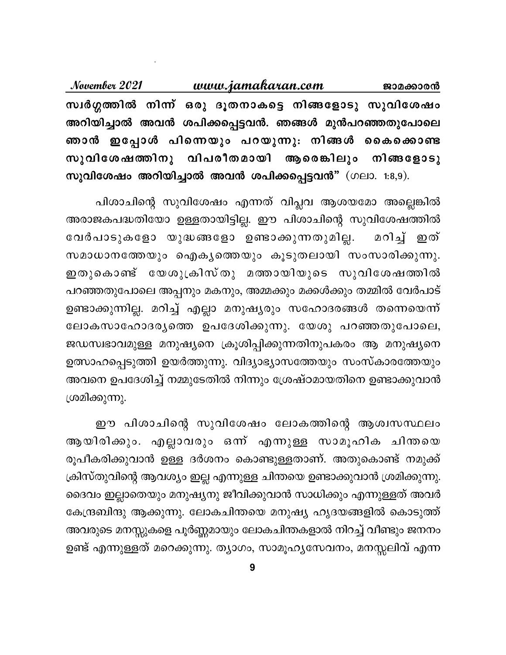November 2021 <u>www.jamakaran.com</u> ജാമക്കാരൻ സ്വർഗ്ഗത്തിൽ നിന്ന് ഒരു ദൂതനാകട്ടെ നിങ്ങളോടു സുവിശേഷം അറിയിച്ചാൽ അവൻ ശപിക്കപ്പെട്ടവൻ. ഞങ്ങൾ മുൻപറഞ്ഞതുപോലെ ഞാൻ ഇപ്പോൾ പിന്നെയും പറയുന്നു: നിങ്ങൾ കൈക്കൊണ്ട സുവിശേഷത്തിനു വിപരീതമായി ആരെങ്കിലും നിങ്ങളോടു സുവിശേഷം അറിയിച്ചാൽ അവൻ ശപിക്കപ്പെട്ടവൻ" (ഗലാ. 1:8,9).

പിശാചിന്റെ സുവിശേഷം എന്നത് വിപ്ലവ ആശയമോ അല്ലെങ്കിൽ അരാജകപദ്ധതിയോ ഉള്ളതായിട്ടില്ല. ഈ പിശാചിന്റെ സുവിശേഷത്തിൽ വേർപാടുകളോ യുദ്ധങ്ങളോ ഉണ്ടാക്കുന്നതുമില്ല. മറിച്ച് ഇത് സമാധാനത്തേയും ഐകൃത്തെയും കൂടുതലായി സംസാരിക്കുന്നു. ഇതുകൊണ്ട് യേശുക്രിസ്തു മത്തായിയുടെ സുവിശേഷത്തിൽ പറഞ്ഞതുപോലെ അപ്പനും മകനും, അമ്മക്കും മക്കൾക്കും തമ്മിൽ വേർപാട് ഉണ്ടാക്കുന്നില്ല. മറിച്ച് എല്ലാ മനുഷ്യരും സഹോദരങ്ങൾ തന്നെയെന്ന് ലോകസാഹോദര്യത്തെ ഉപദേശിക്കുന്നു. യേശു പറഞ്ഞതുപോലെ, ജഡസ്വഭാവമുള്ള മനുഷ്യനെ ക്രൂശിപ്പിക്കുന്നതിനുപകരം ആ മനുഷ്യനെ ഉത്സാഹപ്പെടുത്തി ഉയർത്തുന്നു. വിദ്യാഭ്യാസത്തേയും സംസ്കാരത്തേയും അവനെ ഉപദേശിച്ച് നമ്മുടേതിൽ നിന്നും ശ്രേഷ്ഠമായതിനെ ഉണ്ടാക്കുവാൻ ശ്രമിക്കുന്നു.

ഈ പിശാചിന്റെ സുവിശേഷം ലോകത്തിന്റെ ആശ്വസസ്ഥലം ആയിരിക്കും. എല്ലാവരും ഒന്ന എന്നുള്ള സാമൂഹിക ചിന്തയെ രൂപീകരിക്കുവാൻ ഉള്ള ദർശനം കൊണ്ടുള്ളതാണ്. അതുകൊണ്ട് നമുക്ക് ക്രിസ്തുവിന്റെ ആവശ്യം ഇല്ല എന്നുള്ള ചിന്തയെ ഉണ്ടാക്കുവാൻ ശ്രമിക്കുന്നു. ദൈവം ഇല്ലാതെയും മനുഷ്യനു ജീവിക്കുവാൻ സാധിക്കും എന്നുള്ളത് അവർ കേന്ദ്രബിന്ദു ആക്കുന്നു. ലോകചിന്തയെ മനുഷ്യ ഹൃദയങ്ങളിൽ കൊടുത്ത് അവരുടെ മനസ്സുകളെ പൂർണ്ണമായും ലോകചിന്തകളാൽ നിറച്ച് വീണ്ടും ജനനം ഉണ്ട് എന്നുള്ളത് മറെക്കുന്നു. ത്യാഗം, സാമൂഹ്യസേവനം, മനസ്സലിവ് എന്ന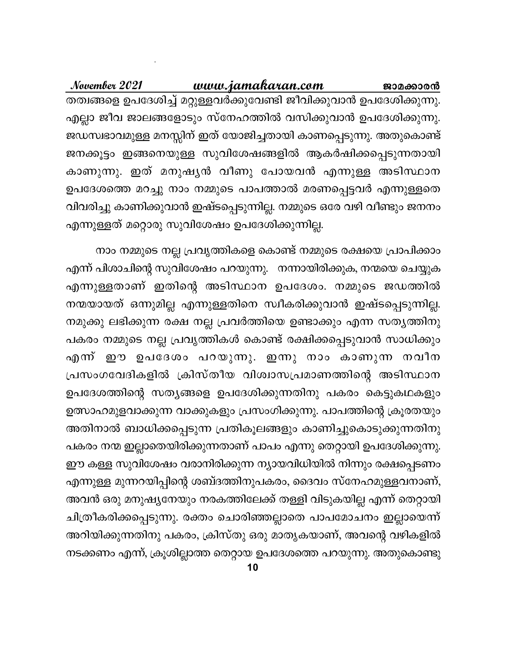November 2021 www.jamakaran.com ജാമക്കാരൻ തത്വങ്ങളെ ഉപദേശിച്ച് മറ്റുള്ളവർക്കുവേണ്ടി ജീവിക്കുവാൻ ഉപദേശിക്കുന്നു. എല്ലാ ജീവ ജാലങ്ങളോടും സ്നേഹത്തിൽ വസിക്കുവാൻ ഉപദേശിക്കുന്നു. ജഡസ്വഭാവമുള്ള മനസ്സിന് ഇത് യോജിച്ചതായി കാണപ്പെടുന്നു. അതുകൊണ്ട് ജനക്കൂട്ടം ഇങ്ങനെയുള്ള സുവിശേഷങ്ങളിൽ ആകർഷിക്കപ്പെടുന്നതായി കാണുന്നു. ഇത് മനുഷൃൻ വീണു പോയവൻ എന്നുള്ള അടിസ്ഥാന ഉപദേശത്തെ മറച്ചു നാം നമ്മുടെ പാപത്താൽ മരണപ്പെട്ടവർ എന്നുള്ളതെ വിവരിച്ചു കാണിക്കുവാൻ ഇഷ്ടപ്പെടുന്നില്ല. നമ്മുടെ ഒരേ വഴി വീണ്ടും ജനനം എന്നുള്ളത് മറ്റൊരു സുവിശേഷം ഉപദേശിക്കുന്നില്ല.

നാം നമ്മുടെ നല്ല പ്രവൃത്തികളെ കൊണ്ട് നമ്മുടെ രക്ഷയെ പ്രാപിക്കാം എന്ന് പിശാചിന്റെ സുവിശേഷം പറയുന്നു. നന്നായിരിക്കുക, നന്മയെ ചെയ്യുക എന്നുള്ളതാണ് ഇതിന്റെ അടിസ്ഥാന ഉപദേശം. നമ്മുടെ ജഡത്തിൽ നന്മയായത് ഒന്നുമില്ല എന്നുള്ളതിനെ സ്വീകരിക്കുവാൻ ഇഷ്ടപ്പെടുന്നില്ല. നമുക്കു ലഭിക്കുന്ന രക്ഷ നല്ല പ്രവർത്തിയെ ഉണ്ടാക്കും എന്ന സത്യത്തിനു പകരം നമ്മുടെ നല്ല പ്രവൃത്തികൾ കൊണ്ട് രക്ഷിക്കപ്പെടുവാൻ സാധിക്കും എന്ന് ഈ ഉപദേശം പറയുന്നു. ഇന്നു നാം കാണുന്ന നവീന പ്രസംഗവേദികളിൽ ക്രിസ്തീയ വിശ്വാസപ്രമാണത്തിന്റെ അടിസ്ഥാന ഉപദേശത്തിന്റെ സത്യങ്ങളെ ഉപദേശിക്കുന്നതിനു പകരം കെട്ടുകഥകളും ഉത്സാഹമുളവാക്കുന്ന വാക്കുകളും പ്രസംഗിക്കുന്നു. പാപത്തിന്റെ ക്രൂരതയും അതിനാൽ ബാധിക്കപ്പെടുന്ന പ്രതികൂലങ്ങളും കാണിച്ചുകൊടുക്കുന്നതിനു പകരം നന്മ ഇല്ലാതെയിരിക്കുന്നതാണ് പാപം എന്നു തെറ്റായി ഉപദേശിക്കുന്നു. ഈ കള്ള സുവിശേഷം വരാനിരിക്കുന്ന ന്യായവിധിയിൽ നിന്നും രക്ഷപ്പെടണം എന്നുള്ള മുന്നറയിപ്പിന്റെ ശബ്ദത്തിനുപകരം, ദൈവം സ്നേഹമുള്ളവനാണ്, അവൻ ഒരു മനുഷ്യനേയും നരകത്തിലേക്ക് തള്ളി വിടുകയില്ല എന്ന് തെറ്റായി ചിത്രീകരിക്കപ്പെടുന്നു. രക്തം ചൊരിഞ്ഞല്ലാതെ പാപമോചനം ഇല്ലായെന്ന് അറിയിക്കുന്നതിനു പകരം, ക്രിസ്തു ഒരു മാതൃകയാണ്, അവന്റെ വഴികളിൽ നടക്കണം എന്ന്, ക്രൂശില്ലാത്ത തെറ്റായ ഉപദേശത്തെ പറയുന്നു. അതുകൊണ്ടു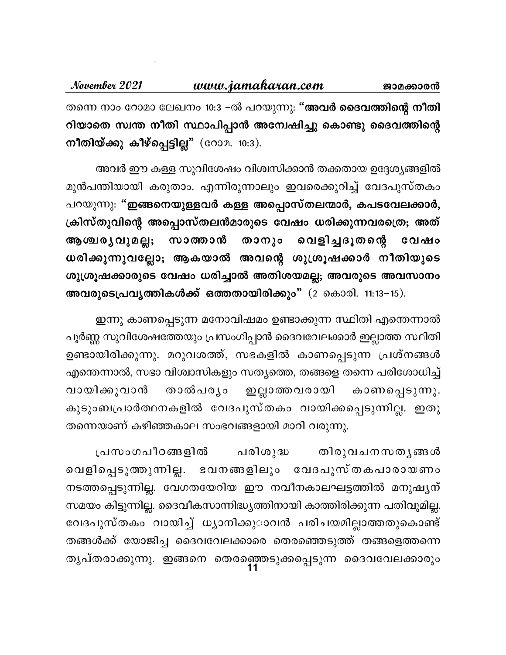November 2021 www.jamakaran.com ജാമക്കാരൻ തന്നെ നാം റോമാ ലേഖനം 10:3 –ൽ പറയുന്നു: "അവർ ദൈവത്തിന്റെ നീതി റിയാതെ സ്വന്ത നീതി സ്ഥാപിപ്പാൻ അന്വേഷിച്ചു കൊണ്ടു ദൈവത്തിന്റെ നീതിയ്ക്കു കീഴ്പ്പെട്ടില്ല" (റോമ. 10:3).

അവർ ഈ കള്ള സുവിശേഷം വിശ്വസിക്കാൻ തക്കതായ ഉദ്ദേശ്യങ്ങളിൽ മുൻപന്തിയായി കരുതാം. എന്നിരുന്നാലും ഇവരെക്കുറിച്ച് വേദപുസ്തകം പറയുന്നു: "ഇങ്ങനെയുള്ളവർ കള്ള അപ്പൊസ്തലന്മാർ, കപടവേലക്കാർ, ക്രിസ്തുവിന്റെ അപ്പൊസ്തലൻമാരുടെ വേഷം ധരിക്കുന്നവരത്രെ; അത് താനും വെളിച്ചദൂതന്റെ വേഷം ആശ്ചര്യവുമല്ല; സാത്താൻ ധരിക്കുന്നുവല്ലോ; ആകയാൽ അവന്റെ ശുശ്രൂഷക്കാർ നീതിയുടെ ശുശ്രൂഷക്കാരുടെ വേഷം ധരിച്ചാൽ അതിശയമല്ല; അവരുടെ അവസാനം അവരുടെപ്രവൃത്തികൾക്ക് ഒത്തതായിരിക്കും"  $(2 \text{ s.t. } 11:13-15)$ .

ഇന്നു കാണപ്പെടുന്ന മനോവിഷമം ഉണ്ടാക്കുന്ന സ്ഥിതി എന്തെന്നാൽ പൂർണ്ണ സുവിശേഷത്തേയും പ്രസംഗിപ്പാൻ ദൈവവേലക്കാർ ഇല്ലാത്ത സ്ഥിതി ഉണ്ടായിരിക്കുന്നു. മറുവശത്ത്, സഭകളിൽ കാണപ്പെടുന്ന പ്രശ്നങ്ങൾ എന്തെന്നാൽ, സഭാ വിശ്വാസികളും സത്യത്തെ, തങ്ങളെ തന്നെ പരിശോധിച്ച് താൽപര്യം വായിക്കുവാൻ . ഇല്ലാത്തവരായി കാണപ്പെടുന്നു. കുടുംബപ്രാർത്ഥനകളിൽ വേദപുസ്തകം വായിക്കപ്പെടുന്നില്ല. ഇതു തന്നെയാണ് കഴിഞ്ഞകാല സംഭവങ്ങളായി മാറി വരുന്നു.

പരിശുദ്ധ പ്രസംഗപീഠങ്ങളിൽ തിരുവചനസതൃങ്<u>ങ</u>ൾ വെളിപ്പെടുത്തുന്നില്ല. ഭവനങ്ങളിലും വേദപുസ്തകപാരായണം നടത്തപ്പെടുന്നില്ല. വേഗതയേറിയ ഈ നവീനകാലഘട്ടത്തിൽ മനുഷൃന് സമയം കിട്ടുന്നില്ല. ദൈവീകസാന്നിദ്ധ്യത്തിനായി കാത്തിരിക്കുന്ന പതിവുമില്ല. വേദപുസ്തകം വായിച്ച് ധ്യാനിക്കു**ാവൻ പരിചയമില്ലാത്തതുകൊണ്ട്** തങ്ങൾക്ക് യോജിച്ച ദൈവവേലക്കാരെ തെരഞ്ഞെടുത്ത് തങ്ങളെത്തന്നെ തൃപ്തരാക്കുന്നു. ഇങ്ങനെ തെരഞ്ഞെടുക്കപ്പെടുന്ന ദൈവവേലക്കാരും<br>11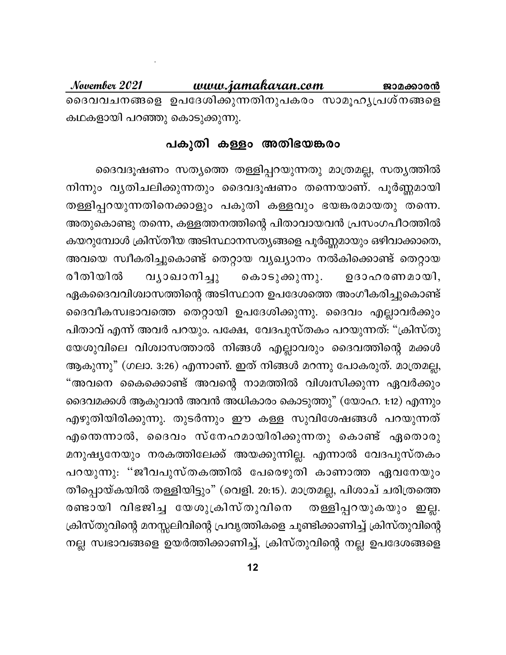www.jamakaran.com November 2021 ജാമക്കാരൻ ദൈവവചനങ്ങളെ ഉപദേശിക്കുന്നതിനുപകരം സാമൂഹൃപ്രശ്നങ്ങളെ കഥകളായി പറഞ്ഞു കൊടുക്കുന്നു.

#### പകുതി കള്ളം അതിഭയങ്കരം

ദൈവദൂഷണം സത്യത്തെ തള്ളിപ്പറയുന്നതു മാത്രമല്ല, സത്യത്തിൽ നിന്നും വൃതിചലിക്കുന്നതും ദൈവദൂഷണം തന്നെയാണ്. പൂർണ്ണമായി തള്ളിപ്പറയുന്നതിനെക്കാളും പകുതി കള്ളവും ഭയങ്കരമായതു തന്നെ. അതുകൊണ്ടു തന്നെ, കള്ളത്തനത്തിന്റെ പിതാവായവൻ പ്രസംഗപീഠത്തിൽ കയറുമ്പോൾ ക്രിസ്തീയ അടിസ്ഥാനസത്യങ്ങളെ പൂർണ്ണമായും ഒഴിവാക്കാതെ, അവയെ സ്വീകരിച്ചുകൊണ്ട് തെറ്റായ വ്യഖ്യാനം നൽകിക്കൊണ്ട് തെറ്റായ രീതിയിൽ വ്യാഖാനിച്ചു കൊടുക്കുന്നു. ഉദാഹരണമായി, ഏകദൈവവിശ്വാസത്തിന്റെ അടിസ്ഥാന ഉപദേശത്തെ അംഗീകരിച്ചുകൊണ്ട് ദൈവീകസ്വഭാവത്തെ തെറ്റായി ഉപദേശിക്കുന്നു. ദൈവം എല്ലാവർക്കും പിതാവ് എന്ന് അവർ പറയും. പക്ഷേ, വേദപുസ്തകം പറയുന്നത്: "ക്രിസ്തു യേശുവിലെ വിശ്വാസത്താൽ നിങ്ങൾ എല്ലാവരും ദൈവത്തിന്റെ മക്കൾ ആകുന്നു" (ഗലാ. 3:26) എന്നാണ്. ഇത് നിങ്ങൾ മറന്നു പോകരുത്. മാത്രമല്ല, "അവനെ കൈക്കൊണ്ട് അവന്റെ നാമത്തിൽ വിശ്വസിക്കുന്ന ഏവർക്കും ദൈവമക്കൾ ആകുവാൻ അവൻ അധികാരം കൊടുത്തു" (യോഹ. 1:12) എന്നും എഴുതിയിരിക്കുന്നു. തുടർന്നും ഈ കള്ള സുവിശേഷങ്ങൾ പറയുന്നത് എന്തെന്നാൽ, ദൈവം സ്നേഹമായിരിക്കുന്നതു കൊണ്ട് ഏതൊരു മനുഷ്യനേയും നരകത്തിലേക്ക് അയക്കുന്നില്ല. എന്നാൽ വേദപുസ്തകം പറയുന്നു. ''ജീവപുസ്തകത്തിൽ പേരെഴുതി കാണാത്ത ഏവനേയും തീപ്പൊയ്കയിൽ തള്ളിയിട്ടും" (വെളി. 20:15). മാത്രമല്ല, പിശാച് ചരിത്രത്തെ രണ്ടായി വിഭജിച്ച യേശുക്രിസ്തുവിനെ തള്ളിപ്പറയുകയും ഇല്ല. ക്രിസ്തുവിന്റെ മനസ്സലിവിന്റെ പ്രവൃത്തികളെ ചൂണ്ടിക്കാണിച്ച് ക്രിസ്തുവിന്റെ നല്ല സ്വഭാവങ്ങളെ ഉയർത്തിക്കാണിച്ച്, ക്രിസ്തുവിന്റെ നല്ല ഉപദേശങ്ങളെ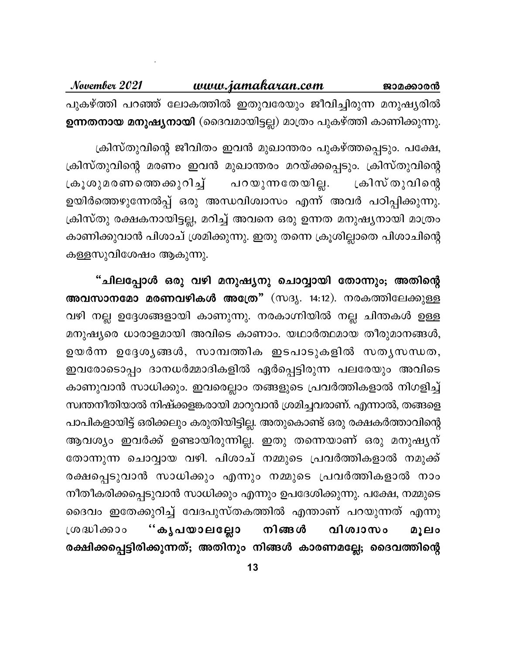November 2021 www.jamakaran.com ജാമ<u>ക്കാരൻ</u> പുകഴ്ത്തി പറഞ്ഞ് ലോകത്തിൽ ഇതുവരേയും ജീവിച്ചിരുന്ന മനുഷ്യരിൽ ഉന്നതനായ മനുഷ്യനായി (ദൈവമായിട്ടല്ല) മാത്രം പുകഴ്ത്തി കാണിക്കുന്നു.

ക്രിസ്തുവിന്റെ ജീവിതം ഇവൻ മുഖാന്തരം പുകഴ്ത്തപ്പെടും. പക്ഷേ, ക്രിസ്തുവിന്റെ മരണം ഇവൻ മുഖാന്തരം മറയ്ക്കപ്പെടും. ക്രിസ്തുവിന്റെ ക്രൂശുമരണത്തെക്കുറിച്ച് പറയുന്നതേയില്ല. ്രകിസ് തുവിന്റെ ഉയിർത്തെഴുന്നേൽപ്പ് ഒരു അന്ധവിശ്വാസം എന്ന് അവർ പഠിപ്പിക്കുന്നു. ക്രിസ്തു രക്ഷകനായിട്ടല്ല, മറിച്ച് അവനെ ഒരു ഉന്നത മനുഷ്യനായി മാത്രം കാണിക്കുവാൻ പിശാച് ശ്രമിക്കുന്നു. ഇതു തന്നെ ക്രൂശില്ലാതെ പിശാചിന്റെ കള്ളസുവിശേഷം ആകുന്നു.

"ചിലപ്പോൾ ഒരു വഴി മനുഷ്യനു ചൊവ്വായി തോന്നും; അതിന്റെ അവസാനമോ മരണവഴികൾ അത്രേ" (സദൃ. 14:12). നരകത്തിലേക്കുള്ള വഴി നല്ല ഉദ്ദേശങ്ങളായി കാണുന്നു. നരകാഗ്നിയിൽ നല്ല ചിന്തകൾ ഉള്ള മനുഷ്യരെ ധാരാളമായി അവിടെ കാണാം. യഥാർത്ഥമായ തീരുമാനങ്ങൾ, ഉയർന്ന ഉദ്ദേശൃങ്ങൾ, സാമ്പത്തിക ഇടപാടുകളിൽ സതൃസന്ധത, ഇവരോടൊപ്പം ദാനധർമ്മാദികളിൽ ഏർപ്പെട്ടിരുന്ന പലരേയും അവിടെ കാണുവാൻ സാധിക്കും. ഇവരെല്ലാം തങ്ങളുടെ പ്രവർത്തികളാൽ നിഗളിച്ച് സ്വന്തനീതിയാൽ നിഷ്ക്കളങ്കരായി മാറുവാൻ ശ്രമിച്ചവരാണ്. എന്നാൽ, തങ്ങളെ പാപികളായിട്ട് ഒരിക്കലും കരുതിയിട്ടില്ല. അതുകൊണ്ട് ഒരു രക്ഷകർത്താവിന്റെ ആവശ്യം ഇവർക്ക് ഉണ്ടായിരുന്നില്ല. ഇതു തന്നെയാണ് ഒരു മനുഷ്യന് തോന്നുന്ന ചൊവ്വായ വഴി. പിശാച് നമ്മുടെ പ്രവർത്തികളാൽ നമുക്ക് രക്ഷപ്പെടുവാൻ സാധിക്കും എന്നും നമ്മുടെ പ്രവർത്തികളാൽ നാം നീതീകരിക്കപ്പെടുവാൻ സാധിക്കും എന്നും ഉപദേശിക്കുന്നു. പക്ഷേ, നമ്മുടെ ദൈവം ഇതേക്കുറിച്ച് വേദപുസ്തകത്തിൽ എന്താണ് പറയുന്നത് എന്നു നിങ്ങൾ "കൃപയാലല്ലോ വിശ്വാസം ശ്രദ്ധിക്കാം മൂലം രക്ഷിക്കപ്പെട്ടിരിക്കുന്നത്; അതിനും നിങ്ങൾ കാരണമല്ലേ; ദൈവത്തിന്റെ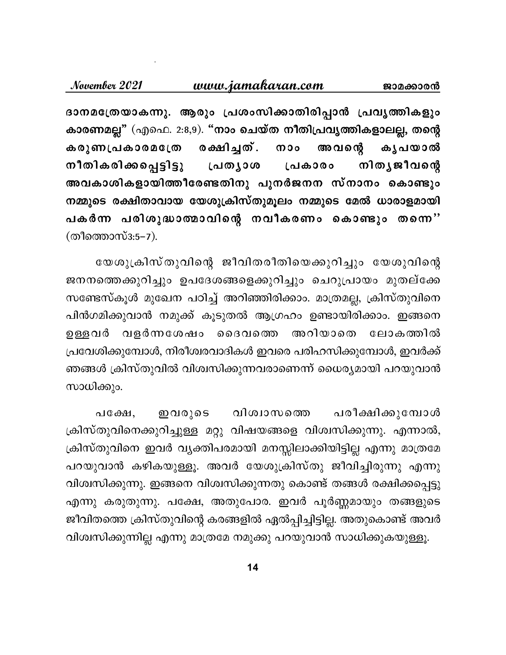#### <u>www.jamakaran.com</u> ജാമക്കാരൻ

November 2021

ദാനമത്രേയാകന്നു. ആരും പ്രശംസിക്കാതിരിപ്പാൻ പ്രവൃത്തികളും കാരണമല്ല" (എഫെ. 2:8,9). "നാം ചെയ്ത നീതിപ്രവൃത്തികളാലല്ല, തന്റെ രക്ഷിച്ചത്. കരുണപ്രകാരമക്രേ അവന്റെ കൃപയാൽ  $000$ നിതൃജീവന്റെ നീതികരിക്കപ്പെട്ടിട്ടു പ്രത്യാശ പ്രകാരം അവകാശികളായിത്തീരേണ്ടതിനു പുനർജനന സ്നാനം കൊണ്ടും നമ്മുടെ രക്ഷിതാവായ യേശുക്രിസ്തുമൂലം നമ്മുടെ മേൽ ധാരാളമായി പകർന്ന പരിശുദ്ധാത്മാവിന്റെ നവീകരണം കൊണ്ടും തന്നെ'' (തീത്തൊസ്3:5-7).

യേശുക്രിസ്തുവിന്റെ ജീവിതരീതിയെക്കുറിച്ചും യേശുവിന്റെ ജനനത്തെക്കുറിച്ചും ഉപദേശങ്ങളെക്കുറിച്ചും ചെറുപ്രായം മുതല്ക്കേ സണ്ടേസ്കൂൾ മുഖേന പഠിച്ച് അറിഞ്ഞിരിക്കാം. മാത്രമല്ല, ക്രിസ്തുവിനെ പിൻഗമിക്കുവാൻ നമുക്ക് കൂടുതൽ ആഗ്രഹം ഉണ്ടായിരിക്കാം. ഇങ്ങനെ വളർന്നശേഷം അറിയാതെ ഉള്ളവർ ൈദവത്തെ ലോകത്തിൽ പ്രവേശിക്കുമ്പോൾ, നിരീശ്വരവാദികൾ ഇവരെ പരിഹസിക്കുമ്പോൾ, ഇവർക്ക് ഞങ്ങൾ ക്രിസ്തുവിൽ വിശ്വസിക്കുന്നവരാണെന്ന് ധൈര്യമായി പറയുവാൻ സാധിക്കും.

വിശ്വാസത്തെ പരീക്ഷിക്കുമ്പോൾ പക്ഷേ, ഇവരുടെ ക്രിസ്തുവിനെക്കുറിച്ചുള്ള മറ്റു വിഷയങ്ങളെ വിശ്വസിക്കുന്നു. എന്നാൽ, ക്രിസ്തുവിനെ ഇവർ വ്യക്തിപരമായി മനസ്സിലാക്കിയിട്ടില്ല എന്നു മാത്രമേ പറയുവാൻ കഴികയുള്ളൂ. അവർ യേശുക്രിസ്തു ജീവിച്ചിരുന്നു എന്നു വിശ്വസിക്കുന്നു. ഇങ്ങനെ വിശ്വസിക്കുന്നതു കൊണ്ട് തങ്ങൾ രക്ഷിക്കപ്പെട്ടു എന്നു കരുതുന്നു. പക്ഷേ, അതുപോര. ഇവർ പൂർണ്ണമായും തങ്ങളുടെ ജീവിതത്തെ ക്രിസ്തുവിന്റെ കരങ്ങളിൽ ഏൽപ്പിച്ചിട്ടില്ല. അതുകൊണ്ട് അവർ വിശ്വസിക്കുന്നില്ല എന്നു മാത്രമേ നമുക്കു പറയുവാൻ സാധിക്കുകയുള്ളൂ.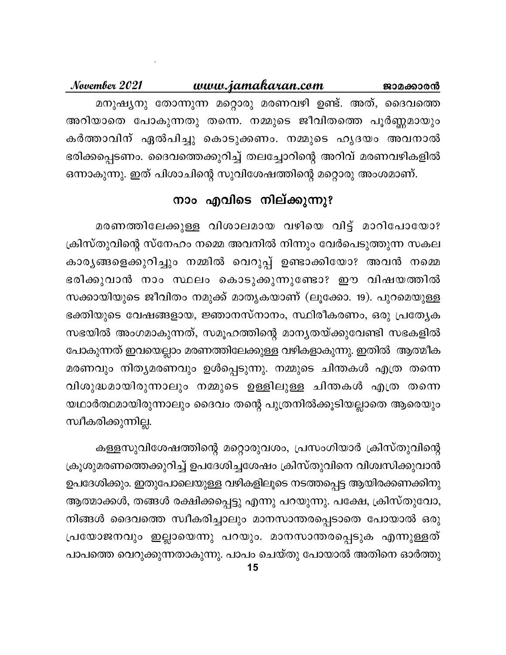<u>www.jamakaran.com</u> November 2021 ജാമക്കാരൻ മനുഷ്യനു തോന്നുന്ന മറ്റൊരു മരണവഴി ഉണ്ട്. അത്, ദൈവത്തെ അറിയാതെ പോകുന്നതു തന്നെ. നമ്മുടെ ജീവിതത്തെ പൂർണ്ണമായും കർത്താവിന് ഏൽപിച്ചു കൊടുക്കണം. നമ്മുടെ ഹൃദയം അവനാൽ ഭരിക്കപ്പെടണം. ദൈവത്തെക്കുറിച്ച് തലച്ചോറിന്റെ അറിവ് മരണവഴികളിൽ ഒന്നാകുന്നു. ഇത് പിശാചിന്റെ സുവിശേഷത്തിന്റെ മറ്റൊരു അംശമാണ്.

## നാം എവിടെ നില്ക്കുന്നു?

മരണത്തിലേക്കുള്ള വിശാലമായ വഴിയെ വിട്ട് മാറിപോയോ? ക്രിസ്തുവിന്റെ സ്നേഹം നമ്മെ അവനിൽ നിന്നും വേർപെടുത്തുന്ന സകല കാര്യങ്ങളെക്കുറിച്ചും നമ്മിൽ വെറുപ്പ് ഉണ്ടാക്കിയോ? അവൻ നമ്മെ ഭരിക്കുവാൻ നാം സ്ഥലം കൊടുക്കുന്നുണ്ടോ? ഈ വിഷയത്തിൽ സക്കായിയുടെ ജീവിതം നമുക്ക് മാതൃകയാണ് (ലൂക്കോ. 19). പുറമെയുള്ള ഭക്തിയുടെ വേഷങ്ങളായ, ജ്ഞാനസ്നാനം, സ്ഥിരീകരണം, ഒരു പ്രത്യേക സഭയിൽ അംഗമാകുന്നത്, സമൂഹത്തിന്റെ മാന്യതയ്ക്കുവേണ്ടി സഭകളിൽ പോകുന്നത് ഇവയെല്ലാം മരണത്തിലേക്കുള്ള വഴികളാകുന്നു. ഇതിൽ ആത്മീക മരണവും നിത്യമരണവും ഉൾപ്പെടുന്നു. നമ്മുടെ ചിന്തകൾ എത്ര തന്നെ വിശുദ്ധമായിരുന്നാലും നമ്മുടെ ഉള്ളിലുള്ള ചിന്തകൾ എത്ര തന്നെ യഥാർത്ഥമായിരുന്നാലും ദൈവം തന്റെ പുത്രനിൽക്കൂടിയല്ലാതെ ആരെയും സ്വീകരിക്കുന്നില്ല.

കള്ളസുവിശേഷത്തിന്റെ മറ്റൊരുവശം, പ്രസംഗിയാർ ക്രിസ്തുവിന്റെ ക്രൂശുമരണത്തെക്കുറിച്ച് ഉപദേശിച്ചശേഷം ക്രിസ്തുവിനെ വിശ്വസിക്കുവാൻ ഉപദേശിക്കും. ഇതുപോലെയുള്ള വഴികളിലൂടെ നടത്തപ്പെട്ട ആയിരക്കണക്കിനു ആത്മാക്കൾ, തങ്ങൾ രക്ഷിക്കപ്പെട്ടു എന്നു പറയുന്നു. പക്ഷേ, ക്രിസ്തുവോ, നിങ്ങൾ ദൈവത്തെ സ്വീകരിച്ചാലും മാനസാന്തരപ്പെടാതെ പോയാൽ ഒരു പ്രയോജനവും ഇല്ലായെന്നു പറയും. മാനസാന്തരപ്പെടുക എന്നുള്ളത് പാപത്തെ വെറുക്കുന്നതാകുന്നു. പാപം ചെയ്തു പോയാൽ അതിനെ ഓർത്തു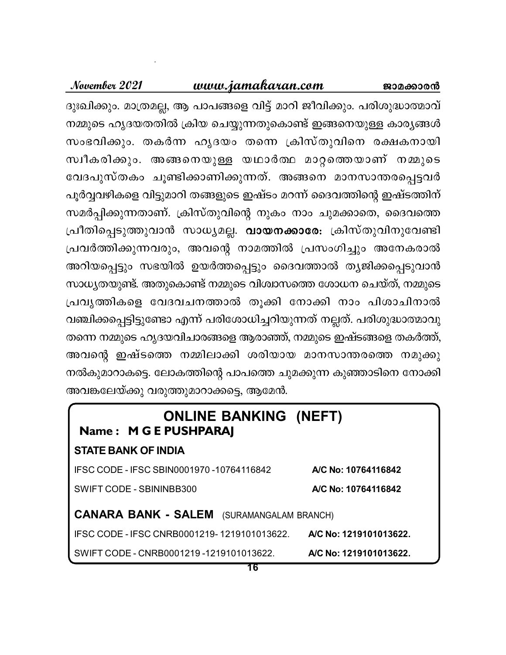#### www.jamakaran.com ജാമക്കാരൻ

ദുഃഖിക്കും. മാത്രമല്ല, ആ പാപങ്ങളെ വിട്ട് മാറി ജീവിക്കും. പരിശുദ്ധാത്മാവ് നമ്മുടെ ഹൃദയതതിൽ ക്രിയ ചെയ്യുന്നതുകൊണ്ട് ഇങ്ങനെയുള്ള കാര്യങ്ങൾ സംഭവിക്കും. തകർന്ന ഹൃദയം തന്നെ ക്രിസ്തുവിനെ രക്ഷകനായി സ്വീകരിക്കും. അങ്ങനെയുള്ള യഥാർത്ഥ മാറ്റത്തെയാണ് നമ്മുടെ വേദപുസ്തകം ചൂണ്ടിക്കാണിക്കുന്നത്. അങ്ങനെ മാനസാന്തരപ്പെട്ടവർ പൂർവ്വവഴികളെ വിട്ടുമാറി തങ്ങളുടെ ഇഷ്ടം മറന്ന് ദൈവത്തിന്റെ ഇഷ്ടത്തിന് സമർപ്പിക്കുന്നതാണ്. ക്രിസ്തുവിന്റെ നുകം നാം ചുമക്കാതെ, ദൈവത്തെ പ്രീതിപ്പെടുത്തുവാൻ സാധ്യമല്ല. <mark>വായനക്കാരേ</mark>: ക്രിസ്തുവിനുവേണ്ടി പ്രവർത്തിക്കുന്നവരും, അവന്റെ നാമത്തിൽ പ്രസംഗിച്ചും അനേകരാൽ അറിയപ്പെട്ടും സഭയിൽ ഉയർത്തപ്പെട്ടും ദൈവത്താൽ തൃജിക്കപ്പെടുവാൻ സാധ്യതയുണ്ട്. അതുകൊണ്ട് നമ്മുടെ വിശ്വാസത്തെ ശോധന ചെയ്ത്, നമ്മുടെ പ്രവൃത്തികളെ വേദവചനത്താൽ തൂക്കി നോക്കി നാം പിശാചിനാൽ വഞ്ചിക്കപ്പെട്ടിട്ടുണ്ടോ എന്ന് പരിശോധിച്ചറിയുന്നത് നല്ലത്. പരിശുദ്ധാത്മാവു തന്നെ നമ്മുടെ ഹൃദയവിചാരങ്ങളെ ആരാഞ്ഞ്, നമ്മുടെ ഇഷ്ടങ്ങളെ തകർത്ത്, അവന്റെ ഇഷ്ടത്തെ നമ്മിലാക്കി ശരിയായ മാനസാന്തരത്തെ നമുക്കു നൽകുമാറാകട്ടെ. ലോകത്തിന്റെ പാപത്തെ ചുമക്കുന്ന കുഞ്ഞാടിനെ നോക്കി അവങ്കലേയ്ക്കു വരുത്തുമാറാക്കട്ടെ, ആമേൻ.

| <b>ONLINE BANKING (NEFT)</b><br>Name: M G E PUSHPARAJ |                        |
|-------------------------------------------------------|------------------------|
| <b>STATE BANK OF INDIA</b>                            |                        |
| IFSC CODE - IFSC SBIN0001970 -10764116842             | A/C No: 10764116842    |
| <b>SWIFT CODE - SBININBB300</b>                       | A/C No: 10764116842    |
| <b>CANARA BANK - SALEM</b> (SURAMANGALAM BRANCH)      |                        |
| IFSC CODE - IFSC CNRB0001219-1219101013622.           | A/C No: 1219101013622. |
| SWIFT CODE - CNRB0001219 -1219101013622.              | A/C No: 1219101013622. |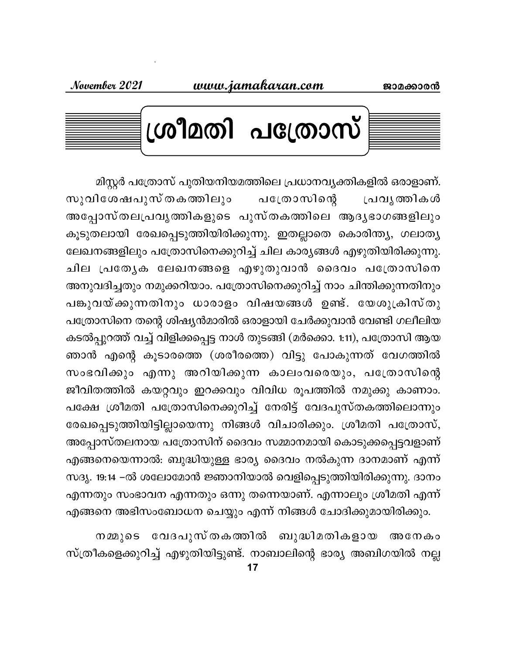

മിസ്റ്റർ പത്രോസ് പുതിയനിയമത്തിലെ പ്രധാനവ്യക്തികളിൽ ഒരാളാണ്. പത്രോസിന്റെ സുവിശേഷപുസ്തകത്തിലു<del>ം</del> പ്രവൃത്തികൾ അപ്പോസ്തലപ്രവൃത്തികളുടെ പുസ്തകത്തിലെ ആദൃഭാഗങ്ങളിലും കൂടുതലായി രേഖപ്പെടുത്തിയിരിക്കുന്നു. ഇതല്ലാതെ കൊരിന്ത്യ, ഗലാത്യ ലേഖനങ്ങളിലും പത്രോസിനെക്കുറിച്ച് ചില കാര്യങ്ങൾ എഴുതിയിരിക്കുന്നു. ചില പ്രത്യേക ലേഖനങ്ങളെ എഴുതുവാൻ ദൈവം പത്രോസിനെ അനുവദിച്ചതും നമുക്കറിയാം. പത്രോസിനെക്കുറിച്ച് നാം ചിന്തിക്കുന്നതിനും പങ്കുവയ്ക്കുന്നതിനും ധാരാളം വിഷയങ്ങൾ ഉണ്ട്. യേശുക്രിസ്തു പത്രോസിനെ തന്റെ ശിഷ്യൻമാരിൽ ഒരാളായി ചേർക്കുവാൻ വേണ്ടി ഗലീലിയ കടൽപ്പുറത്ത് വച്ച് വിളിക്കപ്പെട്ട നാൾ തുടങ്ങി (മർക്കൊ. 1:11), പത്രോസി ആയ ഞാൻ എന്റെ കൂടാരത്തെ (ശരീരത്തെ) വിട്ടു പോകുന്നത് വേഗത്തിൽ സംഭവിക്കും എന്നു അറിയിക്കുന്ന കാലംവരെയും, പത്രോസിന്റെ ജീവിതത്തിൽ കയറ്റവും ഇറക്കവും വിവിധ രൂപത്തിൽ നമുക്കു കാണാം. പക്ഷേ ശ്രീമതി പത്രോസിനെക്കുറിച്ച് നേരിട്ട് വേദപുസ്തകത്തിലൊന്നും രേഖപ്പെടുത്തിയിട്ടില്ലായെന്നു നിങ്ങൾ വിചാരിക്കും. ശ്രീമതി പത്രോസ്, അപ്പോസ്തലനായ പത്രോസിന് ദൈവം സമ്മാനമായി കൊടുക്കപ്പെട്ടവളാണ് എങ്ങനെയെന്നാൽ: ബുദ്ധിയുള്ള ഭാര്യ ദൈവം നൽകുന്ന ദാനമാണ് എന്ന് സദൃ. 19:14 –ൽ ശലോമോൻ ജ്ഞാനിയാൽ വെളിപ്പെടുത്തിയിരിക്കുന്നു. ദാനം എന്നതും സംഭാവന എന്നതും ഒന്നു തന്നെയാണ്. എന്നാലും ശ്രീമതി എന്ന് എങ്ങനെ അഭിസംബോധന ചെയ്യും എന്ന് നിങ്ങൾ ചോദിക്കുമായിരിക്കും.

നമ്മുടെ വേദപുസ്തകത്തിൽ ബുദ്ധിമതികളായ അനേകം സ്ത്രീകളെക്കുറിച്ച് എഴുതിയിട്ടുണ്ട്. നാബാലിന്റെ ഭാര്യ അബിഗയിൽ നല്ല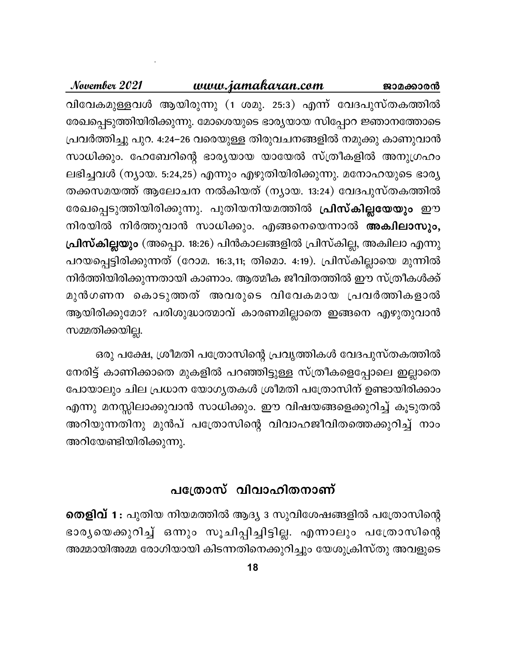# www.jamakaran.com November 2021 ജാമക്കാരൻ വിവേകമുള്ളവൾ ആയിരുന്നു (1 ശമു. 25:3) എന്ന് വേദപുസ്തകത്തിൽ രേഖപ്പെടുത്തിയിരിക്കുന്നു. മോശെയുടെ ഭാര്യയായ സിപ്പോറ ജ്ഞാനത്തോടെ പ്രവർത്തിച്ചു പുറ. 4:24–26 വരെയുള്ള തിരുവചനങ്ങളിൽ നമുക്കു കാണുവാൻ സാധിക്കും. ഹേബേറിന്റെ ഭാര്യയായ യായേൽ സ്ത്രീകളിൽ അനുഗ്രഹം ലഭിച്ചവൾ (ന്യായ. 5:24,25) എന്നും എഴുതിയിരിക്കുന്നു. മനോഹയുടെ ഭാര്യ തക്കസമയത്ത് ആലോചന നൽകിയത് (ന്യായ. 13:24) വേദപുസ്തകത്തിൽ രേഖപ്പെടുത്തിയിരിക്കുന്നു. പുതിയനിയമത്തിൽ **പ്രിസ്കില്ലയേയും** ഈ നിരയിൽ നിർത്തുവാൻ സാധിക്കും. എങ്ങനെയെന്നാൽ അക്ഷിലാസും, പ്രിസ്കില്ലയും (അപ്പൊ. 18:26) പിൻകാലങ്ങളിൽ പ്രിസ്കില്ല, അകിലാ എന്നു പറയപ്പെട്ടിരിക്കുന്നത് (റോമ. 16:3,11; തിമൊ. 4:19). പ്രിസ്കില്ലായെ മുന്നിൽ നിർത്തിയിരിക്കുന്നതായി കാണാം. ആത്മീക ജീവിതത്തിൽ ഈ സ്ത്രീകൾക്ക് മുൻഗണന കൊടുത്തത് അവരുടെ വിവേകമായ പ്രവർത്തികളാൽ ആയിരിക്കുമോ? പരിശുദ്ധാത്മാവ് കാരണമില്ലാതെ ഇങ്ങനെ എഴുതുവാൻ സമ്മതിക്കയില്ല.

ഒരു പക്ഷേ, ശ്രീമതി പത്രോസിന്റെ പ്രവൃത്തികൾ വേദപുസ്തകത്തിൽ നേരിട്ട് കാണിക്കാതെ മുകളിൽ പറഞ്ഞിട്ടുള്ള സ്ത്രീകളെപ്പോലെ ഇല്ലാതെ പോയാലും ചില പ്രധാന യോഗൃതകൾ ശ്രീമതി പത്രോസിന് ഉണ്ടായിരിക്കാം എന്നു മനസ്സിലാക്കുവാൻ സാധിക്കും. ഈ വിഷയങ്ങളെക്കുറിച്ച് കൂടുതൽ അറിയുന്നതിനു മുൻപ് പത്രോസിന്റെ വിവാഹജീവിതത്തെക്കുറിച്ച് നാം അറിയേണ്ടിയിരിക്കുന്നു.

# പത്രോസ് വിവാഹിതനാണ്

**തെളിവ് 1**: പുതിയ നിയമത്തിൽ ആദ്യ 3 സുവിശേഷങ്ങളിൽ പത്രോസിന്റെ ഭാര്യയെക്കുറിച്ച് ഒന്നും സൂചിപ്പിച്ചിട്ടില്ല. എന്നാലും പത്രോസിന്റെ അമ്മായിഅമ്മ രോഗിയായി കിടന്നതിനെക്കുറിച്ചും യേശുക്രിസ്തു അവളുടെ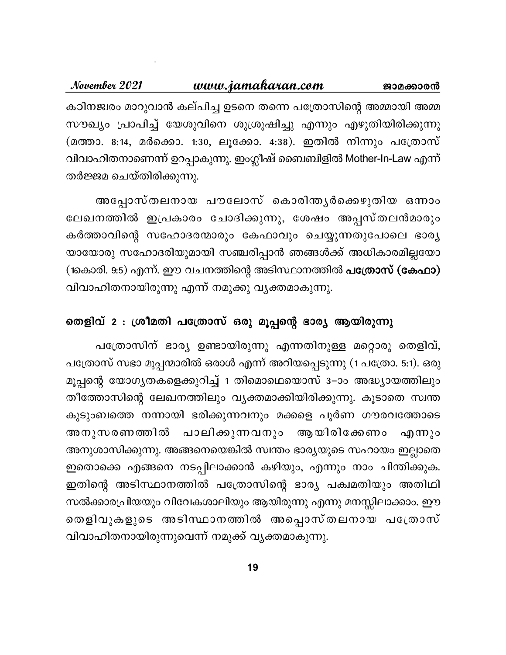### <u>www.jamakaran.com</u> November 2021 ജാമക്കാരൻ കഠിനജ്വരം മാറുവാൻ കല്പിച്ച ഉടനെ തന്നെ പത്രോസിന്റെ അമ്മായി അമ്മ സൗഖ്യം പ്രാപിച്ച് യേശുവിനെ ശുശ്രൂഷിച്ചു എന്നും എഴുതിയിരിക്കുന്നു (മത്താ. 8:14, മർക്കൊ. 1:30, ലൂക്കോ. 4:38). ഇതിൽ നിന്നും പത്രോസ് വിവാഹിതനാണെന്ന് ഉറപ്പാകുന്നു. ഇംഗ്ലീഷ് ബൈബിളിൽ Mother-In-Law എന്ന് തർജ്ജമ ചെയ്തിരിക്കുന്നു.

അപ്പോസ്തലനായ പൗലോസ് കൊരിന്തൃർക്കെഴുതിയ ഒന്നാം ലേഖനത്തിൽ ഇപ്രകാരം ചോദിക്കുന്നു, ശേഷം അപ്പസ്തലൻമാരും കർത്താവിന്റെ സഹോദരന്മാരും കേഫാവും ചെയ്യുന്നതുപോലെ ഭാര്യ യായോരു സഹോദരിയുമായി സഞ്ചരിപ്പാൻ ഞങ്ങൾക്ക് അധികാരമില്ലയോ (1കൊരി. 9:5) എന്ന്. ഈ വചനത്തിന്റെ അടിസ്ഥാനത്തിൽ <mark>പത്രോസ് (കേഫാ)</mark> വിവാഹിതനായിരുന്നു എന്ന് നമുക്കു വ്യക്തമാകുന്നു.

# തെളിവ് 2 : ശ്രീമതി പത്രോസ് ഒരു മൂപ്പന്റെ ഭാര്യ ആയിരുന്നു

പത്രോസിന് ഭാര്യ ഉണ്ടായിരുന്നു എന്നതിനുള്ള മറ്റൊരു തെളിവ്, പത്രോസ് സഭാ മൂപ്പന്മാരിൽ ഒരാൾ എന്ന് അറിയപ്പെടുന്നു (1 പത്രോ. 5:1). ഒരു മൂപ്പന്റെ യോഗ്യതകളെക്കുറിച്ച് 1 തിമൊഥെയൊസ് 3–ാം അദ്ധ്യായത്തിലും തീത്തോസിന്റെ ലേഖനത്തിലും വ്യക്തമാക്കിയിരിക്കുന്നു. കൂടാതെ സ്വന്ത കുടുംബത്തെ നന്നായി ഭരിക്കുന്നവനും മക്കളെ പൂർണ ഗൗരവത്തോടെ അനുസരണത്തിൽ പാലിക്കുന്നവനും ആയിരിക്കേണം എന്നും അനുശാസിക്കുന്നു. അങ്ങനെയെങ്കിൽ സ്വന്തം ഭാര്യയുടെ സഹായം ഇല്ലാതെ ഇതൊക്കെ എങ്ങനെ നടപ്പിലാക്കാൻ കഴിയും, എന്നും നാം ചിന്തിക്കുക. ഇതിന്റെ അടിസ്ഥാനത്തിൽ പത്രോസിന്റെ ഭാര്യ പക്വമതിയും അതിഥി സൽക്കാരപ്രിയയും വിവേകശാലിയും ആയിരുന്നു എന്നു മനസ്സിലാക്കാം. ഈ തെളിവുകളുടെ അടിസ്ഥാനത്തിൽ അപ്പൊസ്തലനായ പത്രോസ് വിവാഹിതനായിരുന്നുവെന്ന് നമുക്ക് വ്യക്തമാകുന്നു.